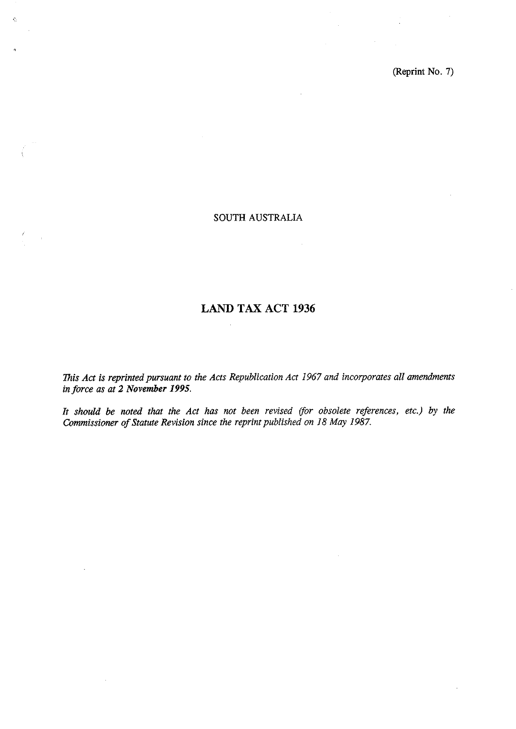**(Reprint No. 7)** 

## **SOUTH AUSTRALIA**

 $\hat{C}$ 

## **LAND TAX ACT 1936**

*This Act is reprinted pursuant to the Acts Republication Act* 1967 *and incorporates all amendments in force as at 2 November 1995.* 

*It should be noted that the Act has not been revised for obsolete references, etc.) by the Commissioner of Statute Revision since the reprint published on* 18 *May* 1987.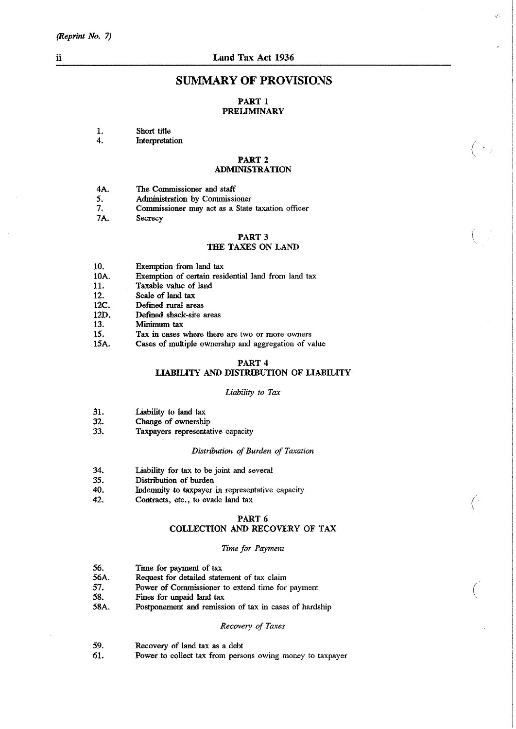цÝ,

 $\left(\begin{array}{c} \end{array}\right)$ 

## **SUMMARY OF PROVISIONS**

## PART 1 **PRELIMINARY**

# 1. Short title<br>4. Interpretat

**Interpretation** 

#### PART 2 ADMINISTRATION

4A. The Commissioner and staff

5. Administration by Commissioner

- $7.$ Commissioner may act as a State taxation officer
- 7A. **Secrecy**

## PART 3

## **TRE** TAXES ON LAND

- $10.$ Exemption from land **tax**
- 10A. Exemption of certain residential land from land tax
- 11. Taxable value of land
- $12.$ Scale of land **tax**
- 12C. Defined **nual areas**
- 12D. Defined shack-site areas
- 13. **Minimum** tax
- 15. Tax in **cases** where there are two or more owners
- 15A. Cases of multiple ownership **and** aggregation of value

#### PART 4

## LIABILITY AND DISTRIBUTION OF LIABILITY

#### **Liability** *to Tax*

- 31. Liability to land **tax**
- 32. Change of ownership
- 33. Taxpayers representative capacity

#### *Distribution of Burden of Taxation*

- 34. Liability for tax to be joint and several
- 35. Distribution of burden
- 40. Indemnity to taxpayer in representative capacity
- 42. Contracts, etc., to evade land tax

## PART 6

## COLLECTION AND RECOVERY OF TAX

#### *Time for Payment*

- 56. Time for payment of tax
- 56A. Request for **detailed** statement of tax claim
- 57. Power of Commissioner to extend time for payment
- 58. **Fines** for **unpaid** land **tax**
- 58A. Postponement and remission of tax in cases of hardship

#### *Recovery of Taxes*

- 59. Recovery of land **tax** as a debt
- 61. Power to collect tax from persons owing money to taxpayer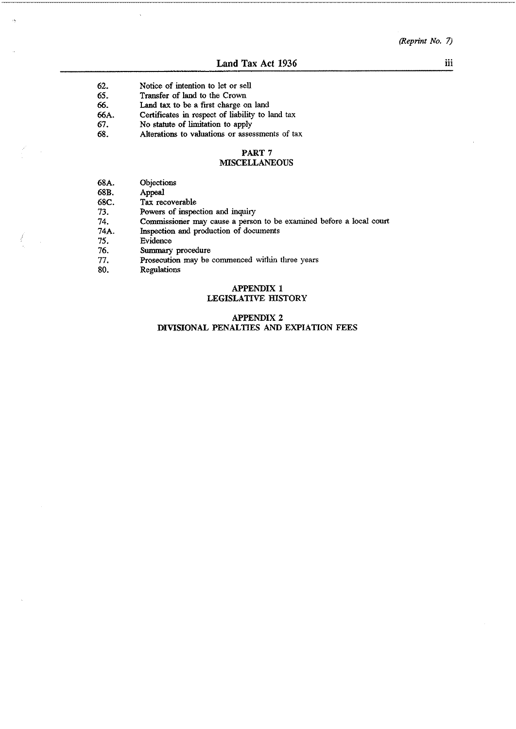- 62. Notice of intention to let or sell
- 65. Transfer of land to the Crown
- 66. Land **tax** to be a first charge on land
- 66A. Certificates in respect of liability to land tax
- 67. No statute of limitation to apply
- 68. Alterations to valuations or assessments of tax

#### **PART 7 MISCELLANEOUS**

#### 68A. Objections

- 68B. **Appeal**
- 68C. Tax recoverable
- 73. Powers of inspection and inquiry
- 74. Commissioner may cause a person to be examined before a local court
- Inspection and production of documents 74A.
- Evidence 75.

 $\int_{\gamma_{1}}$ 

- **Summary** procedure 76.
- 77. Prosecution may be commenced within three years
- 80. Regulations

## **APPENDIX 1 LEGISLATIVE HISTORY**

## **APPENDIX 2 DIVISIONAL PENALTIES AND EXPIATION FEES**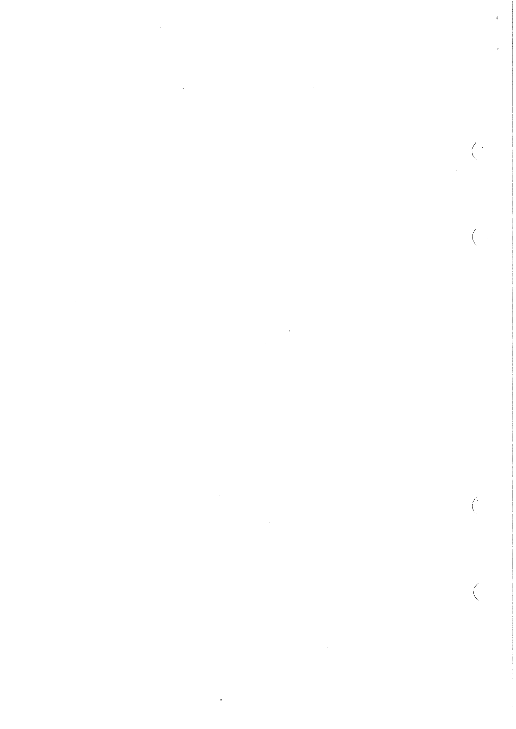$\mathcal{L}^{\mathcal{L}}(\mathcal{L}^{\mathcal{L}})$  and the contract of the contract of the contract of the contract of the contract of the contract of the contract of the contract of the contract of the contract of the contract of the contrac  $\overline{\mathcal{A}}$  $\label{eq:2} \begin{split} \mathcal{L}_{\text{max}}(\mathcal{L}_{\text{max}}) = \mathcal{L}_{\text{max}}(\mathcal{L}_{\text{max}}) \,, \end{split}$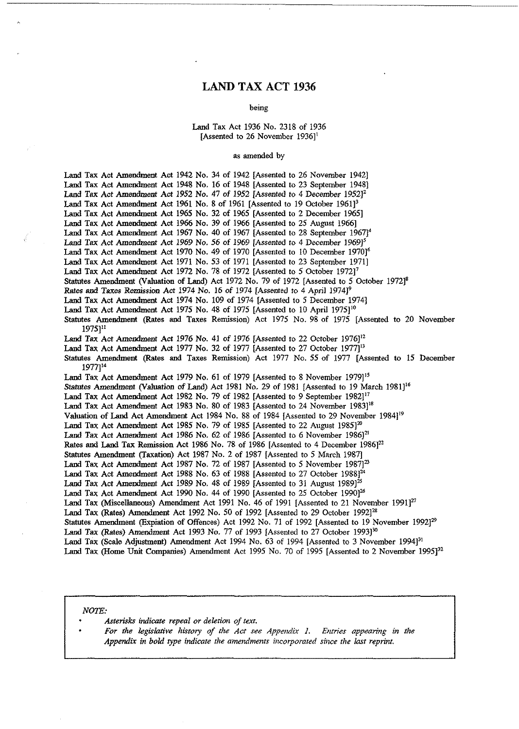## **LAND TAX ACT 1936**

being

Land Tax Act 1936 No. 2318 of 1936 [Assented to 26 November 1936]<sup>1</sup>

#### **as** amended by

Land Tax Act Amendment Act 1942 No. 34 of 1942 [Assented to 26 November 1942] Land Tax Act Amendment Act 1948 No. 16 of 1948 [Assented to 23 September 19481 Land Tax Act Amendment Act 1952 No. 47 of 1952 [Assented to 4 December 1952]<sup>2</sup> Land Tax Act Amendment Act 1961 No. 8 of 1961 [Assented to 19 October 1961]<sup>3</sup> Land Tax Act Amendment Act 1965 No. 32 of 1965 [Assented to 2 December 19651 Land Tax Act Amendment Act 1966 No. 39 of 1966 [Assented to 25 August 1966] Land Tax Act Amendment Act 1967 No. 40 of 1967 [Assented to 28 September 1967j4 Land Tax Act Amendment Act 1969 No. 56 of 1969 [Assented to 4 December 19691' Land Tax Act Amendment Act 1970 No. 49 of 1970 [Assented to 10 December 1970]<sup>6</sup> Land Tax Act Amendment Act 1971 No. 53 of 1971 [Assented to 23 September 1971] Land Tax Act Amendment Act 1972 No. 78 of 1972 [Assented to 5 October 19721' Statutes Amendment (Valuation of Land) Act 1972 No. 79 of 1972 [Assented to 5 October 1972]<sup>8</sup> Rates and Taxes Remission Act 1974 No. 16 of 1974 [Assented to 4 April 1974]<sup>9</sup> Land Tax Act Amendment Act 1974 No. 109 of 1974 [Assented to 5 December 19741 Land Tax Act Amendment Act 1975 No. 48 of 1975 [Assented to 10 April 1975]<sup>10</sup> Statutes Amendment (Rates **and** Taxes Remission) Act 1975 No. 98 of 1975 [Assented to 20 November 19751'' Land Tax Act Amendment Act 1976 No. 41 of 1976 [Assented to 22 October 1976]<sup>12</sup> Land Tax Act Amendment Act 1977 No. 32 of 1977 [Assented to 27 October 1977]<sup>13</sup> Statutes Amendment (Rates and Taxes Remission) Act 1977 No. 55 of 1977 [Assented to 15 December 197714 Land Tax Act Amendment Act 1979 No. 61 of 1979 [Assented to 8 November 1979]<sup>15</sup> Statutes Amendment (Valuation of Land) Act 1981 No. 29 of 1981 [Assented to 19 March 1981]<sup>16</sup> Land Tax Act Amendment Act 1982 No. 79 of 1982 [Assented to 9 September 1982]<sup>17</sup> Land Tax Act Amendment Act 1983 No. 80 of 1983 [Assented to 24 November 1983]<sup>18</sup> Valuation of Land Act Amendment Act 1984 No. 88 of 1984 [Assented to 29 November 19841" Land Tax Act Amendment Act 1985 No. 79 of 1985 [Assented to 22 August 1985]<sup>20</sup> Land Tax Act Amendment Act 1986 No. 62 of 1986 [Assented to 6 November 1986]<sup>21</sup> Rates and Land Tax Remission Act 1986 No. 78 of 1986 [Assented to 4 December 1986]<sup>22</sup> Statutes Amendment (Taxation) Act 1987 No. 2 of 1987 [Assented to 5 March 19871 Land Tax Act Amendment Act 1987 No. 72 of 1987 [Assented to 5 November 1987]<sup>23</sup> Land Tax Act Amendment Act 1988 No. 63 of 1988 [Assented to 27 October 1988]<sup>24</sup> Land Tax Act Amendment Act 1989 No. 48 of 1989 [Assented to 31 August 1989]<sup>25</sup> Land Tax Act Amendment Act 1990 No. 44 of 1990 [Assented to 25 October 1990]<sup>26</sup> Land Tax (Miscellaneous) Amendment Act 1991 No. 46 of 1991 [Assented to 21 November 1991] $^{27}$ Land Tax (Rates) Amendment Act 1992 No. 50 of 1992 [Assented to 29 October 1992]<sup>28</sup> Statutes Amendment (Expiation of Offences) Act 1992 No. 71 of 1992 [Assented to 19 November 1992]<sup>29</sup> Land Tax (Rates) Amendment Act 1993 No. 77 of 1993 [Assented to 27 October 1993]<sup>30</sup> Land Tax (Scale Adjustment) Amendment Act 1994 No. 63 of 1994 [Assented to 3 November 1994]<sup>31</sup> Land Tax (Home Unit Companies) Amendment Act 1995 No. 70 of 1995 [Assented to 2 November 1995]<sup>32</sup>

*NOTE:* 

Asterisks indicate repeal or deletion of text.

For the legislative history of the Act see Appendix 1. Entries appearing in the Appendix in bold type indicate the amendments incorporated since the last reprint.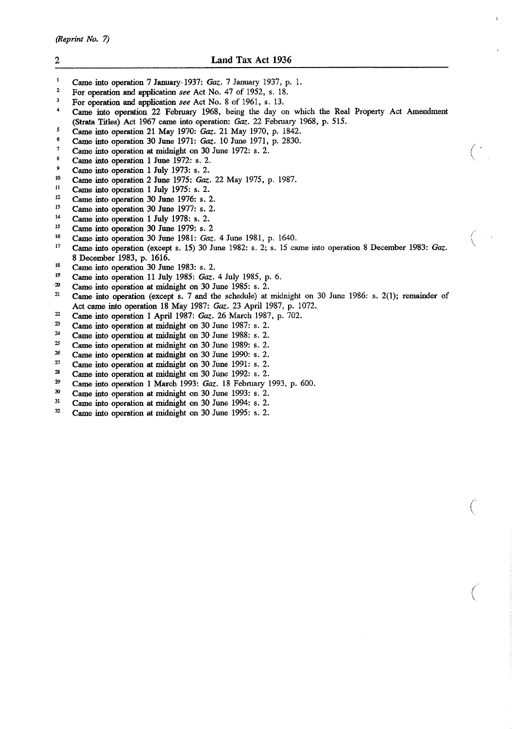- $\mathbf{I}$ Came into operation 7 January. 1937: *Gaz.* 7 January 1937, p. 1.
- $\overline{2}$ For operation *and* application *see* Act No. 47 of 1952, s. 18.
- $\overline{\mathbf{3}}$ For operation *and* application *see* Act No. 8 of 1961, s. 13.
- $\overline{4}$ Came into operation 22 February 1968, being the day on which the Real Property Act Amendment (Strata Titles) Act 1967 came into operation: *Gaz.* 22 February 1968, p. 515.
- $\mathbf{s}$ Came into operation 21 May 1970: Gaz. 21 May 1970, p. 1842.
- 6 Came into operation 30 June 1971: Gaz. 10 June 1971, p. 2830.
- 7 Came into operation **at** midnight on 30 June 1972: s. 2.
- Came into operation 1 June 1972: s. 2.
- Came into operation 1 July 1973: s. 2.
- 10 Came into operation 2 June 1975: *Gaz.* 22 May 1975, p. 1987.
- $\overline{11}$ Came into operation 1 July 1975: s. 2.
- $12$ Came into operation 30 June 1976: s. 2.
- $13$ Came into operation 30 June 1977: s. 2.
- $14$ Came into operation 1 July 1978: s. 2.
- $15$ Came into operation 30 June 1979: **s.** 2
- 16 Came into operation 30 June 1981: *Gaz.* 4 June 1981, p. 1640.
- $\overline{17}$ Came into operation (except **s.** 15) 30 June 1982: **s.** 2; s. 15 came into operation 8 December 1983: **Gaz.**  8 December 1983, p. 1616.

 $\frac{1}{2}$  .

- 18 Came into operation 30 June 1983: s. 2.
- 19 Came into operation 11 July 1985: *Gaz.* 4 July 1985, p. 6.
- $\boldsymbol{\mathfrak{D}}$ Came into operation **at** midnight on 30 June 1985: s. 2.
- $21$ Came into operation (except s. 7 and the schedule) at midnight on 30 June 1986: s. 2(1); remainder of Act came into operation 18 May 1987: *Gat.* 23 April 1987, p. 1072.
- $\overline{\mathbf{z}}$ Came into operation 1 April 1987: *Gaz.* 26 March 1987, p. 702.
- $\mathbf{z}$ Came into operation at midnight on 30 June 1987: s. 2.
- $\overline{24}$ Came into operation at midnight on 30 June 1988: s. 2.
- $25$ Came into operation at midnight on 30 June 1989: **s.** 2.
- $\overline{26}$ Came into operation at midnight on 30 June 1990: s. 2.
- $\overline{z}$ Came into operation at midnight on 30 June 1991: s. 2.
- 28 Came into operation at midnight on 30 June 1992: s. 2.
- Came into operation 1 March 1993: *Gaz.* 18 February 1993, p. 600. 29
- 30 Came into operation at midnight on 30 June 1993: s. 2.
- 31 Came into operation **at** midnight on 30 June 1994: s. 2.
- $32$ Came into operation **at** midnight on 30 June 1995: s. 2.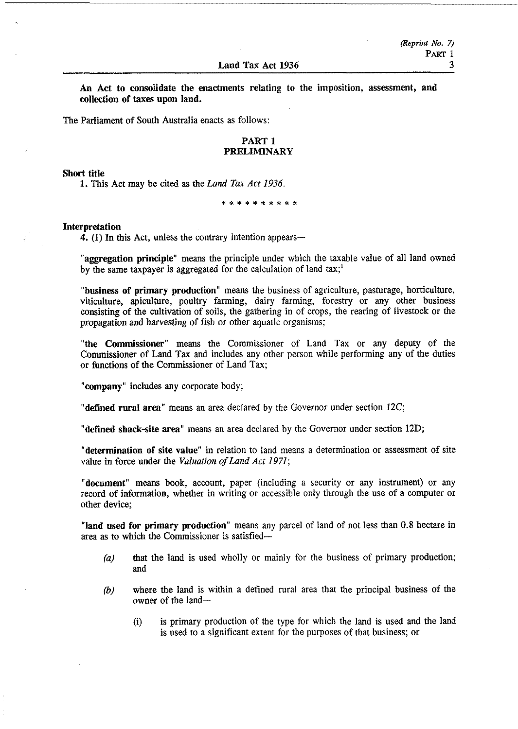An Act to consolidate the enactments relating to the imposition, assessment, and collection of taxes upon land.

The Parliament of South Australia enacts as follows:

## PART 1 PRELIMINARY

Short title

1. This Act may be cited as the **Land** *Tax Act* 1936.

\* \* \* \* \* \* \* \* \* \*

#### Interpretation

4. (1) In this Act, unless the contrary intention appears-

"aggregation principle" means the principle under which the taxable value of all land owned by the same taxpayer is aggregated for the calculation of land tax;'

"business of primary production" means the business of agriculture, pasturage, horticulture, viticulture, apiculture, poultry farming, dairy farming, forestry or any other business consisting of the cultivation of soils, the gathering in of crops, the rearing of livestock or the propagation and harvesting of fish or other aquatic organisms;

"the Commissioner" means the Commissioner of Land Tax or any deputy of the Commissioner of Land **Tax** and includes any other person while performing any of the duties or functions of the Commissioner of Land Tax;

"company" includes any corporate body;

"defined rural area" means an area declared by the Governor under section **12C;** 

"defined shack-site area" means an area declared by the Governor under section 12D;

"determination of site value" in relation to land means a determination or assessment of site value in force under the *Valuation of Land Act* 1971;

"document" means book, account, paper (including a security or any instrument) or any record of information, whether in writing or accessible only through the use of a computer or other device;

"land used for primary production" means any parcel of land of not less than 0.8 hectare in area as to which the Commissioner is satisfied-

- **(a)** that the land is used wholly or mainly for the business of primary production; and
- (b) where the land is within a defined rural area that the principal business of the owner of the land-
	- (i) is primary production of the type for which the land is used and the land is used to a significant extent for the purposes of that business; or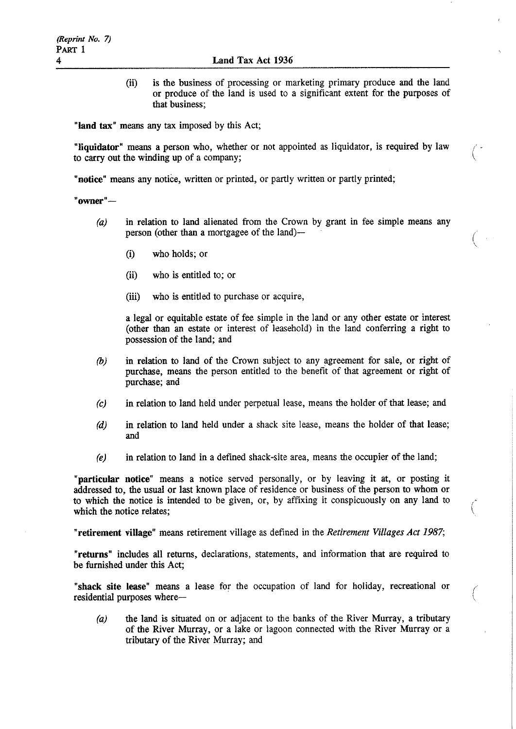(ii) is the business of processing or marketing primary produce and the land or produce of the land is used to a significant extent for the purposes of that business;

"land **tax"** means any **tax** imposed by this Act;

"liquidator" means a person who, whether or not appointed as liquidator, is required by law to carry out the winding up of a company;

"notice" **means** any notice, written or printed, or partly written or partly printed;

"owner "-

- **(a)** in relation to land alienated from the Crown by grant in fee simple means any person (other than a mortgagee of the land) $-$ 
	- (i) who holds; or
	- (ii) who is entitled to; or
	- (iii) who is entitled to purchase or acquire,

a legal or equitable estate of fee simple in the land or any other estate or interest (other than an estate or interest of leasehold) in the land conferring a right to possession of the land; and

 $\bigg($ 

- $(b)$  in relation to land of the Crown subject to any agreement for sale, or right of purchase, means the person entitled to the benefit of that agreement or right of purchase; and
- **(c)** in relation to land held under perpetual lease, means the holder of that lease; and
- *(d)* in relation to land held under a shack site lease, means the holder of that lease; and
- *(e)* in relation to land in a defined shack-site area, means the occupier of the land;

"particular notice" means a notice served personally, or by leaving it at, or posting it addressed to, the usual or last known place of residence or business of the person to whom or to which the notice is intended to be given, or, by affixing it conspicuously on any land to which the notice relates; <sup>&</sup>lt;

"retirement village" means retirement village as defined in the *Retirement Villages Act 1987*;

"returns" includes all returns, declarations, statements, and information that are required to be furnished under this Act;

"shack site lease" means a lease for the occupation of land for holiday, recreational or residential purposes where-

**(a)** the land is situated on or adjacent to the banks of the River Murray, a tributary of the River Murray, or a lake or lagoon connected with the River Murray or a tributary of the River Murray; and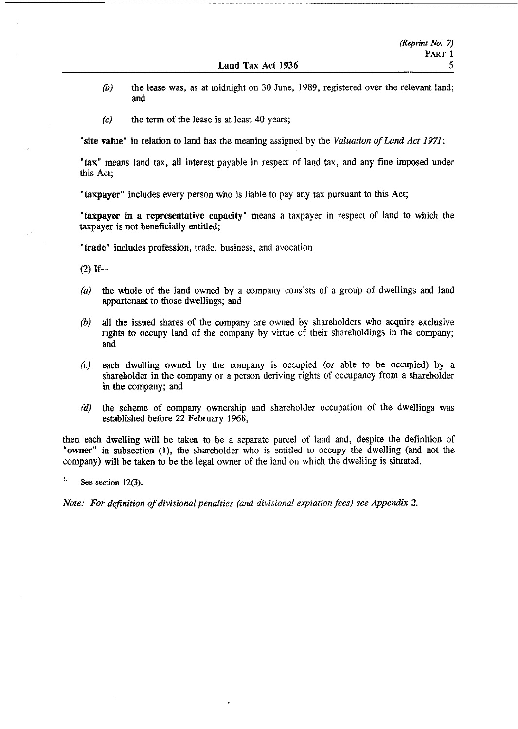- $(b)$  the lease was, as at midnight on 30 June, 1989, registered over the relevant land; and
- *(c)* the term of the lease is at least 40 years;

"site value" in relation to land has the meaning assigned by the *Valuation of* **Land** *Act* 1971;

"tax" means land tax, all interest payable in respect of land tax, and any fine imposed under this Act;

"taxpayer" includes every person who is liable to pay any tax pursuant to this Act;

"taxpayer **in** a representative capacity" means a taxpayer in respect of land to which the taxpayer is not beneficially entitled;

"trade" includes profession, trade, business, and avocation.

 $(2)$  If-

- **(a)** the whole of the land owned by a company consists of a group of dwellings and land appurtenant to those dwellings; and
- (5) all the issued shares of the company are owned by shareholders who acquire exclusive rights to occupy land of the company by virtue of their shareholdings in the company; and
- **(c)** each dwelling owned by the company is occupied (or able to be occupied) by a shareholder in the company or a person deriving rights of occupancy from a shareholder in the company; and
- *(d)* the scheme of company ownership and shareholder occupation of the dwellings was established before 22 February 1968,

then each dwelling will be taken to be a separate parcel of land and, despite the definition of "owner" in subsection **(I),** the shareholder who is entitled to occupy the dwelling (and not the company) will be taken to be the legal owner of the land on which the dwelling is situated.

' **See section 12(3).** 

*Note: For definition of divisional penalties (and divisional expiation fees) see Appendix 2.*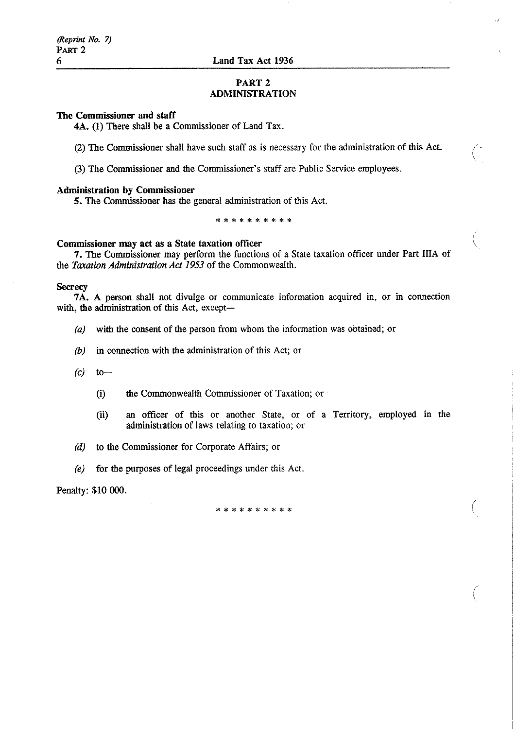## PART **2**  ADMINISTRATION

#### The Commissioner and staff

**4A.** (1) There shall be a Commissioner of Land Tax.

(2) The Commissioner shall have such staff as is necessary for the administration of this Act.

**(3)** The Commissioner and the Commissioner's staff are Public Service employees.

## Administration by Commissioner

5. The Commissioner has the general administration of this Act.

\* \* \* \* \* \* \* \* \* \*

 $\bigg($ 

## Commissioner may act as a State taxation officer

7. The Commissioner may perform the functions of a State taxation ofticer under Part IIIA of the *Taxation Administration Act 1953* of the Commonwealth.

## **Secrecy**

7A. **A** person shall not divulge or communicate information acquired in, or in connection with, the administration of this Act, except-

- *(a)* with the consent of the person from whom the information was obtained; or
- *(b)* in connection with the administration of this Act; or
- $(c)$  to-
	- (i) the Commonwealth Commissioner of Taxation; or
	- (ii) an officer of this or another State, or of a Territory, employed in the administration of laws relating to taxation; or
- *(d)* to the Commissioner for Corporate Affairs; or
- *(e)* for the purposes of legal proceedings under this Act.

Penalty: \$10 **000.** 

\* \* \* \* \* \* \* \* \* \*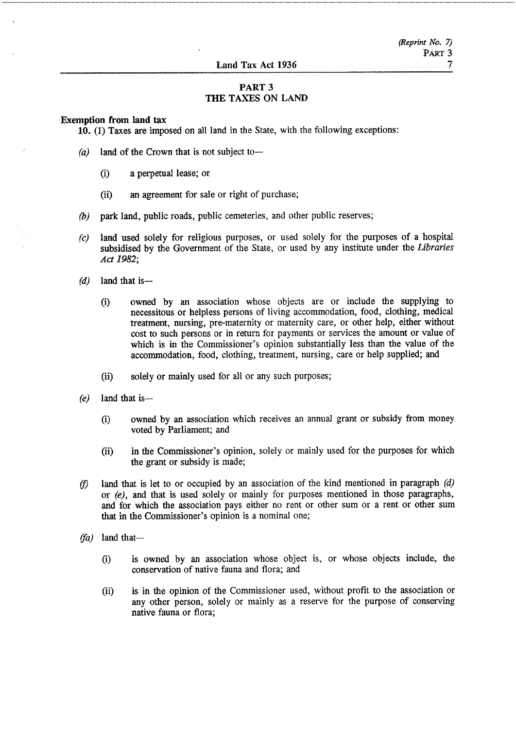*(Reprint* **No.** 7) **PART 3** 

Land Tax Act 1936 **7 7** 

## **PART 3 THE TAXES ON LAND**

### Exemption from land **tax**

**10.** (1) **Taxes** are imposed on all land in the State, with the following exceptions:

- (a) land of the Crown that is not subject to-
	- (i) a perpetual lease; or
	- (ii) an agreement for sale or right of purchase;
- (b) park land, public roads, public cemeteries, and other public reserves;
- **(c)** land used solely for religious purposes, or used solely for the purposes of a hospital subsidised by the Government of the State, or used by any institute under the *Libraries Act* 1982;
- (d) land that is-
	- (i) owned by an association whose objects are or include the supplying to necessitous or helpless persons of living accommodation, food, clothing, medical treatment, nursing, pre-maternity or maternity care, or other help, either without cost to such persons or in return for payments or services the amount or value of which is in the Commissioner's opinion substantially less than the value of the accommodation, food, clothing, treatment, nursing, care or help supplied; and
	- (ii) solely or mainly used for all or any such purposes;
- *(e)* land that is-
	- (i) owned by an association which receives an annual grant or subsidy from money voted by Parliament; and
	- (ii) in the Commissioner's opinion, solely or mainly used for the purposes for which the grant or subsidy is made;
- (f) land that is let to or occupied by an association of the kind mentioned in paragraph  $(d)$ or *(e),* and that is used solely or mainly for purposes mentioned in those paragraphs, and for which the association pays either no rent or other sum or a rent or other sum that in the Commissioner's opinion is a nominal one;
- $(fa)$  land that-
	- (i) is owned by an association whose object is, or whose objects include, the conservation of native fauna and flora; and
	- (ii) is in the opinion of the Commissioner used, without profit to the association or any other person, solely or mainly as a reserve for the purpose of conserving native fauna or flora;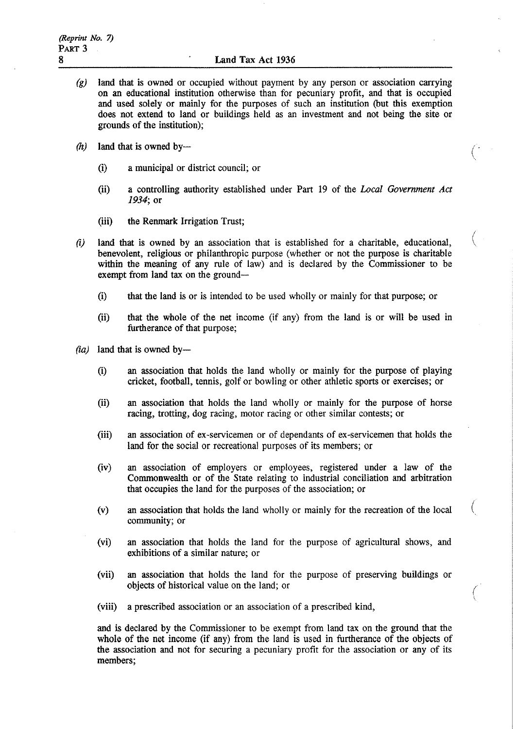- **(g)** land that is owned or occupied without payment by any person or association carrying on an educational institution otherwise than for pecuniary profit, and that is occupied and used solely or mainly for the purposes of such an institution (but this exemption does not extend to land or buildings held as an investment and not being the site or grounds of the institution);
- $(h)$  land that is owned by-
	- (i) a municipal or district council; or
	- (ii) a controlling authority established under Part 19 of the Local *Government Act 1934;* or

 $\left(\right)$ 

- (iii) the Renmark Irrigation Trust;
- **0)** land that is owned by an association that is established for a charitable, educational, benevolent, religious or philanthropic purpose (whether or not the purpose is charitable within the meaning of any rule of law) and is declared by the Commissioner to be exempt from land tax on the ground-
	- (i) that the land is or is intended to be used wholly or mainly for that purpose; or
	- (ii) that the whole of the net income (if any) from the land is or will be used in furtherance of that purpose;
- $(a)$  land that is owned by-
	- (i) **an** association that holds the land wholly or mainly for the purpose of playing cricket, football, tennis, golf or bowling or other athletic sports or exercises; or
	- (ii) an association that holds the land wholly or mainly for the purpose of horse racing, trotting, dog racing, motor racing or other similar contests; or
	- (iii) an association of ex-servicemen or of dependants of ex-servicemen that holds the land for the social or recreational purposes of its members; or
	- (iv) an association of employers or employees, registered under a law of the Commonwealth or of the State relating to industrial conciliation and arbitration that occupies the land for the purposes of the association; or
	- **(v)** an association that holds the land wholly or mainly for the recreation of the local ( community; or
	- (vi) an association that holds the land for the purpose of agricultural shows, and exhibitions of a similar nature; or
	- (vii) an association that holds the land for the purpose of preserving buildings or objects of historical value on the land; or i
	- (viii) a prescribed association or an association of a prescribed kind,

and is declared by the Commissioner to be exempt from land tax on the ground that the whole of the net income (if any) from the land is used in furtherance of the objects of the association and not for securing a pecuniary profit for the association or any of its members;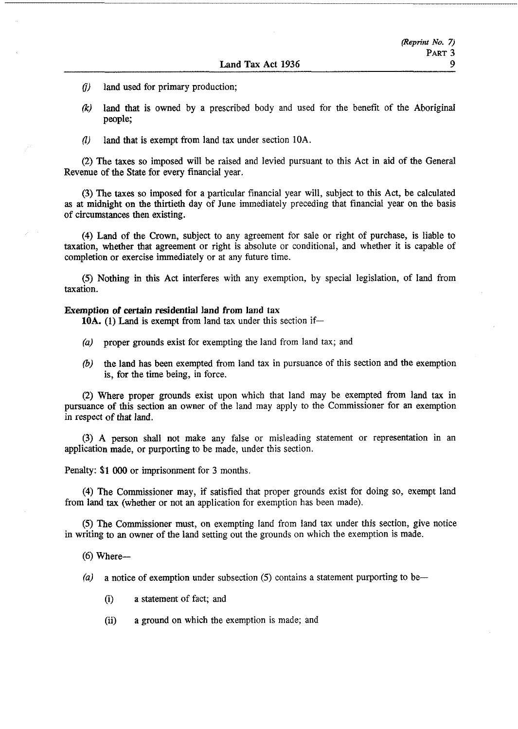- $(i)$  land used for primary production;
- $(k)$  land that is owned by a prescribed body and used for the benefit of the Aboriginal people;
- **(1)** land that is exempt from land tax under section 10A.

(2) The **taxes** so imposed will be raised and levied pursuant to this Act in aid of the General Revenue of the State for every financial year.

(3) The **taxes** so imposed for a particular financial year will, subject to this Act, be calculated as at midnight on the thirtieth day of June immediately preceding that financial year on the basis of circumstances then existing.

(4) Land of the Crown, subject to any agreement for sale or right of purchase, is liable to taxation, whether that agreement or right is absolute or conditional, and whether it is capable of completion or exercise immediately or at any future time.

(5) Nothing in this Act interferes with any exemption, by special legislation, of land from taxation.

## Exemption of certain residential land from land tax

**10A.** (1) Land is exempt from land tax under this section if—

- **(a)** proper grounds exist for exempting the land from land tax; and
- **(bJ** the land has been exempted from land tax in pursuance of this section and the exemption is, for the time being, in force.

(2) Where proper grounds exist upon which that land may be exempted from land tax in pursuance of this section an owner of the land may apply to the Commissioner for an exemption in respect of that **land.** 

(3) **A** person shall not make any false or misleading statement or representation in an application made, or purporting to be made, under this section.

Penalty: \$1 000 or imprisonment for **3** months.

(4) The Commissioner may, if satisfied that proper grounds exist for doing so, exempt land from land tax (whether or not an application for exemption has been made).

(5) The Commissioner must, on exempting land from land tax under this section, give notice in writing to an owner of the land setting out the grounds on which the exemption is made.

 $(6)$  Where--

**(a)** a notice of exemption under subsection (5) contains a statement purporting to be-

- (i) a statement of fact; and
- (ii) a ground on which the exemption is made; and

*(Reprim* **No. 7j**  PART **3**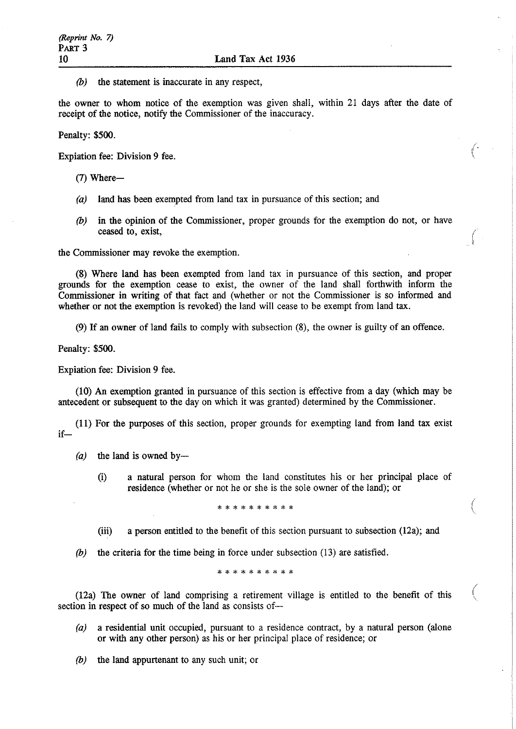$(b)$  the statement is inaccurate in any respect,

the owner to whom notice of the exemption was given shall, within 21 days after the date of receipt of the notice, notify the Commissioner of the inaccuracy.

Penalty: *\$500.* 

Expiation fee: Division 9 fee.  $\left(\frac{1}{2}\right)$ 

 $(7)$  Where--

- **(a)** land has been exempted from land tax in pursuance of this section; and
- (b) in the opinion of the Commissioner, proper grounds for the exemption do not, or have ceased to, exist,

the Commissioner may revoke the exemption.

(8) Where land has been exempted from land tax in pursuance of this section, and proper grounds for the exemption cease to exist, the owner of the land shall forthwith inform the Commissioner in writing of that fact and (whether or not the Commissioner is so informed and whether or not the exemption is revoked) the land will cease to be exempt from land tax.

(9) If an owner of land fails to comply with subsection **(8),** the owner is guilty of an offence.

Penalty: *\$500.* 

Expiation fee: Division 9 fee.

(10) An exemption granted in pursuance of this section is effective from a day (which may be antecedent or subsequent to the day on which it was granted) determined by the Commissioner.

(11) For the purposes of this section, proper grounds for exempting land from land **tax** exist if-

- $(a)$  the land is owned by-
	- (i) a natural person for whom the land constitutes his or her principal place of residence (whether or not he or she is the sole owner of the land); or

\* \* \* \* \* \* \* \* \* \*

(iii) a person entitled to the benefit of this section pursuant to subsection (12a); and

(b) the criteria for the time being in force under subsection  $(13)$  are satisfied.

(12a) The owner of land comprising a retirement village is entitled to the benefit of this section in respect of so much of the land as consists of-

- **(a)** a residential unit occupied, pursuant to a residence contract, by a natural person (alone or with any other person) as his or her principal place of residence; or
- (b) the land appurtenant to any such unit; or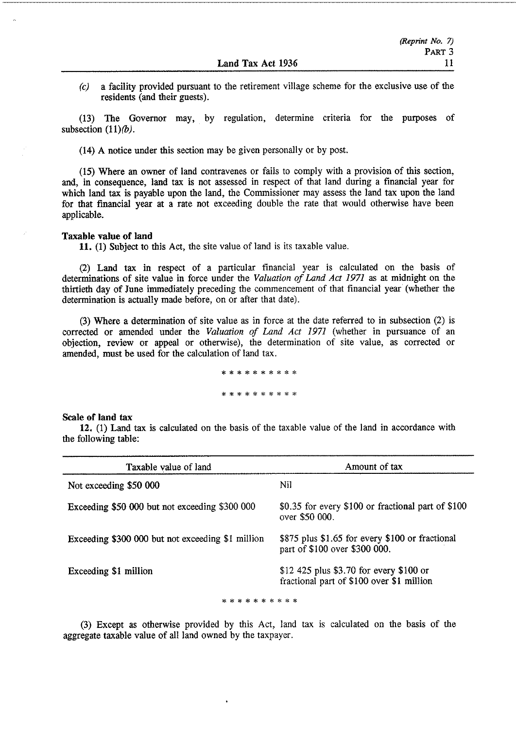*(c)* a facility provided pursuant to the retirement village scheme for the exclusive use of the residents (and their guests).

(13) The Governor may, by regulation, determine criteria for the purposes of subsection  $(11)(b)$ .

(14) A notice under this section may be given personally or by post.

(15) Where an owner of land contravenes or fails to comply with a provision of this section, and, in consequence, land tax is not assessed in respect of that land during a financial year for which land tax is payable upon the land, the Commissioner may assess the land tax upon the land for that financial year at a rate not exceeding double the rate that would otherwise have been applicable.

#### Taxable value **of** land

**11.** (1) Subject to this Act, the site value of land is its taxable value.

**(2)** Land tax in respect of a particular financial year is calculated on the basis of determinations of site value in force under the *Valuation of* Land *Act I971* as at midnight on the thirtieth day of June immediately preceding the commencement of that financial year (whether the determination is actually made before, on or after that date).

(3) Where a determination of site value as in force at the date referred to in subsection (2) is corrected or amended under the *Valuation of Land Act 1971* (whether in pursuance of an objection, review or appeal or otherwise), the determination of site value, as corrected or amended, must be used for the calculation of land tax.

## \* \* \* \* \* \* \* \* \* \*

#### Scale **of** land **tax**

12. (1) Land tax is calculated on the basis of the taxable value of the land in accordance with the following table:

| Taxable value of land                             | Amount of tax                                                                        |  |
|---------------------------------------------------|--------------------------------------------------------------------------------------|--|
| Not exceeding \$50 000                            | Nil                                                                                  |  |
| Exceeding \$50 000 but not exceeding \$300 000    | \$0.35 for every \$100 or fractional part of \$100<br>over \$50 000.                 |  |
| Exceeding \$300 000 but not exceeding \$1 million | \$875 plus \$1.65 for every \$100 or fractional<br>part of \$100 over \$300 000.     |  |
| Exceeding \$1 million                             | \$12 425 plus \$3.70 for every \$100 or<br>fractional part of \$100 over \$1 million |  |
| * * * * * * * * * *                               |                                                                                      |  |

(3) Except as otherwise provided by this Act, land tax is calculated on the basis of the aggregate taxable value of all land owned by the taxpayer.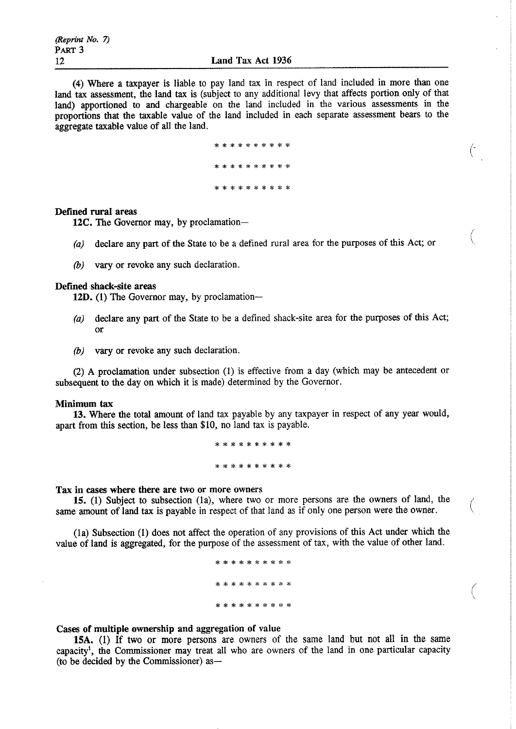(4) Where a taxpayer is liable to pay land tax in respect of land included in more than one land tax assessment, the land tax is (subject to any additional levy that affects portion only of that land) apportioned to and chargeable on the land included in the various assessments in the proportions that the taxable value of the land included in each separate assessment bears to the aggregate taxable value of all the land.

#### Defined rural areas

12C. The Governor may, by proclamation-

- **(a)** declare any part of the State to be a defined rural area for the purposes of this Act; or
- (b) vary or revoke any such declaration.

#### Defined shack-site areas

**12D.** (1) The Governor may, by proclamation-

- **(a)** declare any part of the State to be a defined shack-site area for the purposes of this Act; or
- (b) **vary** or revoke any such declaration.

(2) **A** proclamation under subsection (1) is effective from a day (which may be antecedent or subsequent to the day on which it is made) determined by the Governor.

#### Minimum **tax**

**13.** Where the total amount of land tax payable by any taxpayer in respect of any year would, apart from this section, be less than \$10, no land tax is payable.

> \* \* \* \* \* \* \* \* \* \* \* \* \* \* \* \* \* \* \* \*

## **Tax** in **eases** where there are two or more owners

15. **(1)** Subject to subsection (la), where two or more persons are the owners of land, the same amount of land tax is payable in respect of that land as if only one person were the owner.

(la) Subsection (1) does not affect the operation of any provisions of this Act under which the value of land is aggregated, for the purpose of the assessment of tax, with the value of other land.

> \* \* \* \* \* \* \* \* \* \* \* \* \* \* \*

## **Cases of** multiple ownership and aggregation of value

**15A.** (1) If two or more persons are owners of the same land but not all in the same capacity', the Commissioner may treat all who are owners of the land in one particular capacity (to be decided by the Commissioner) as-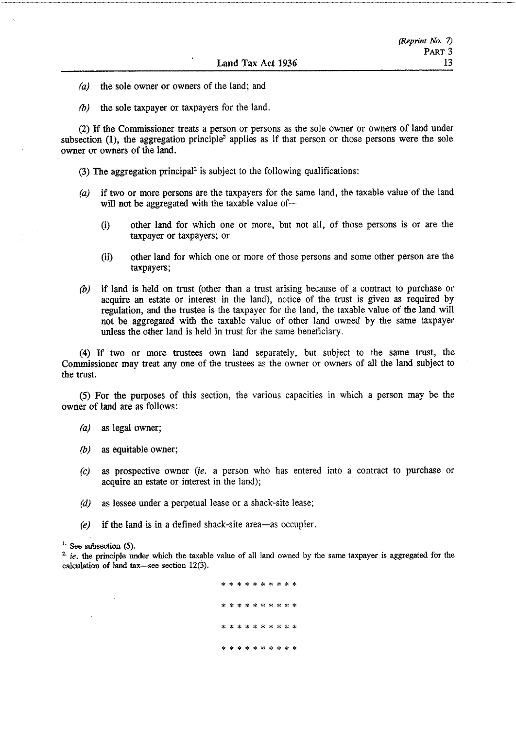- (a) the sole owner or owners of the land; and
- (b) the sole taxpayer or taxpayers for the land.

**(2)** If the Commissioner treats a person or persons as the sole owner or owners of land under subsection (1), the aggregation principle<sup>2</sup> applies as if that person or those persons were the sole owner or owners of the land.

- (3) The aggregation principal<sup>2</sup> is subject to the following qualifications:
- (a) if two or more persons are the taxpayers for the same land, the taxable value of the land will not be aggregated with the taxable value of-
	- (i) other land for which one or more, but not all, of those persons is or are the taxpayer or taxpayers; or
	- (ii) other land for which one or more of those persons and some other person are the taxpayers;
- (b) if land is held on trust (other than a trust arising because of a contract to purchase or acquire an estate or interest in the land), notice of the trust is given as required by regulation, and the trustee is the taxpayer for the land, the taxable value of the land will not be aggregated with the taxable value of other land owned by the same taxpayer unless the other land is held in trust for the same beneficiary.

(4) If two or more trustees own land separately, hut subject to the same trust, the Commissioner may treat any one of the trustees as the owner or owners of all the land subject to the trust.

(5) For the purposes of this section, the various capacities in which a person may be the owner of land are as follows:

- **(a)** as legal owner;
- (b) as equitable owner;
- **(c)** as prospective owner (ie. a person who has entered into a contract to purchase or acquire an estate or interest in the land);
- (d) as lessee under a perpetual lease or a shack-site lease;
- (e) if the land is in a defined shack-site area-as occupier.

'. **See subsection (5).** 

<sup>2.</sup> *ie.* the principle under which the taxable value of all land owned by the same taxpayer is aggregated for the **calculation of land tax-see section 12(3).** 

> $\star$   $\star$  $\star$  $\Delta \mathbf{r}$ \* \* \* \* \* \* \* \* \* \* \* \* \*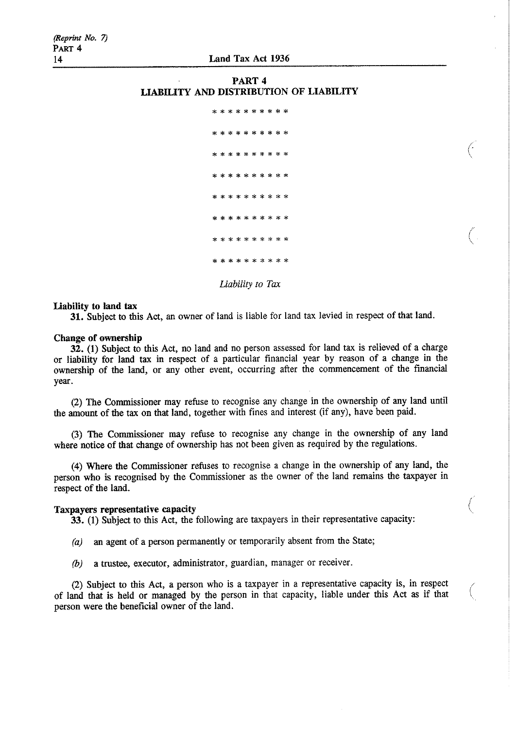## PART 4 LIABILITY AND DISTRIBUTION OF LIABILITY



#### Liability to land **tax**

**31.** Subject to this Act, an owner of land is liable for land tax levied in respect of that land.

## Change **of** ownership

**32. (1)** Subject to this Act, no land and no person assessed for land tax is relieved of a charge or liability for land tax in respect of a particular financial year by reason of a change in the ownership of the land, or any other event, occurring after the commencement of the financial Year.

**(2)** The Commissioner may refuse to recognise any change in the ownership of any land until the amount of the tax on that land, together with fines and interest (if any), have been paid.

**(3)** The Commissioner may refuse to recognise any change in the ownership of any land where notice of that change of ownership has not been given as required by the regulations.

**(4)** Where the Commissioner refuses to recognise a change in the ownership of any land, the person who is recognised by the Commissioner as the owner of the land remains the taxpayer in respect of the land.

#### Taxpayers representative capacity

**33.** (1) Subject to this Act, the following are taxpayers in their representative capacity:

- *(a)* an agent of a person permanently or temporarily absent from the State;
- *(b)* a trustee, executor, administrator, guardian, manager or receiver.

**(2)** Subject to this Act, a person who is a taxpayer in a representative capacity is, in respect of land that is held or managed by the person in that capacity, liable under this Act as if that person were the beneficial owner of the land.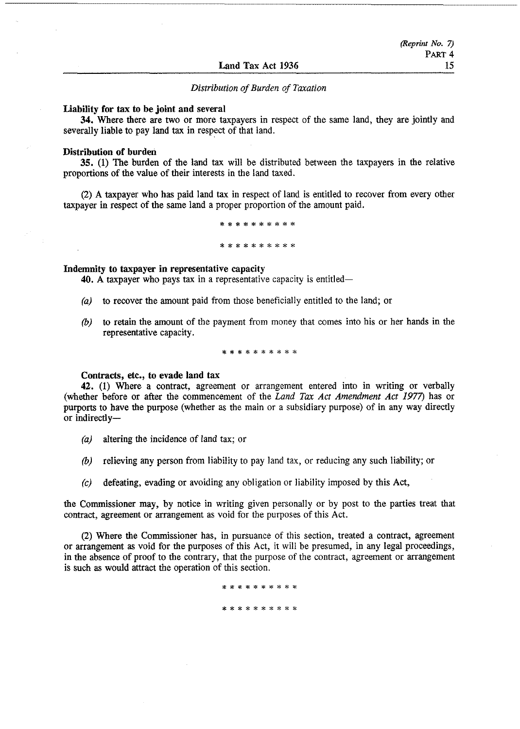## *Distribution of Burdeiz of Taxation*

#### Liability for tax to be joint and several

34. Where there are two or more taxpayers in respect of the same land, they are jointly and severally liable to pay land tax in respect of that land.

#### Distribution of burden

35. (1) The burden of the land tax will be distributed between the taxpayers in the relative proportions of the value of their interests in the land taxed.

(2) **A** taxpayer who has paid land tax in respect of land is entitled to recover from every other taxpayer in respect of the same land a proper proportion of the amount paid.

\* \* \* \* \* \* \* \* \* \*

Indemnity to taxpayer in representative capacity

40. **A** taxpayer who pays tax in a representative capacity is entitled-

- *(a)* to recover the amount paid from those beneficially entitled to the land; or
- (b) **to** retain the amount of the payment from money that comes into his or her hands in the representative capacity.

\* \* \* \* \* \* \* \* \* \*

## Contracts, etc., to evade land tax

42. **(1)** Where a contract, agreement or arrangement entered into in writing or verbally (whether before or after the commencement of the *Land Tax Act Amendment Act 1977)* has or purports to have the purpose (whether as the main or a subsidiary purpose) of in any way directly or indirectly-

- *(a)* altering the incidence of land tax; or
- (b) relieving any person from liability to pay land tax, or reducing any such liability; or
- *(c)* defeating, evading or avoiding any obligation or liability imposed by this Act,

the Commissioner may, by notice in writing given personally or by post to the parties treat that contract, agreement or arrangement as void for the purposes of this Act.

(2) Where the Commissioner has, in pursuance of this section, treated a contract, agreement or arrangement as void for the purposes of this Act, it will be presumed, in any legal proceedings, in the absence of proof to the contrary, that the purpose of the contract, agreement or arrangement is such as would attract the operation of this section.

\* \* \* \* \* \* \* \* \* \*

\* \* \* \* \* \* \* \* \* \*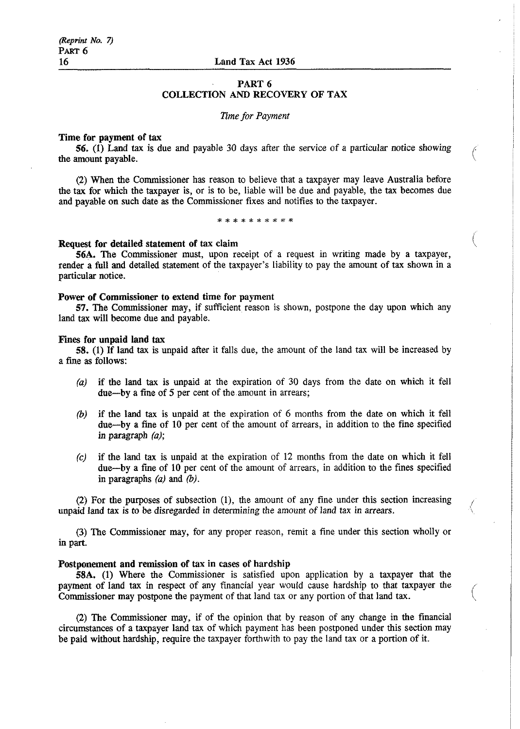## PART **6**  COLLECTION AND RECOVERY OF TAX

## *lime for Payment*

## Time for payment of **tax**

56. **(I)** Land tax is due and payable **30** days after the service of a particular notice showing the amount payable.

(2) When the Commissioner has reason to believe that a taxpayer may leave Australia before the tax for which the taxpayer is, or is to be, liable will be due and payable, the tax becomes due and payable on such date as the Commissioner fixes and notifies to the taxpayer.

\* \* \* \* \* \* \* \* \* \*

 $\left($ 

#### Request for detailed statement of tax claim

**56A.** The Commissioner must, upon receipt of a request in writing made by a taxpayer, render a full and detailed statement of the taxpayer's liability to pay the amount of tax shown in a particular notice.

## Power of Commissioner to extend time for payment

**57.** The Commissioner may, if sufficient reason is shown, postpone the day upon which any land tax will become due and payable.

## Rnes for unpaid land **tax**

**58. (1)** If land tax is unpaid after it falls due, the amount of the land tax will be increased by a fine as follows:

- (a) if the land tax is unpaid at the expiration of 30 days from the date on which it fell due—by a fine of 5 per cent of the amount in arrears;
- (b) if the land tax is unpaid at the expiration of *6* months from the date on which it fell due-by a fine of **10** per cent of the amount of arrears, in addition to the fine specified in paragraph (a);
- *(c)* if the land tax is unpaid at the expiration of 12 months from the date on which it fell due-by a fine of **10** per cent of the amount of arrears, in addition to the fines specified in paragraphs  $(a)$  and  $(b)$ .

(2) For the purposes of subsection (1), the amount of any fine under this section increasing unpaid land tax is to be disregarded in determining the amount of land tax in arrears.

**(3)** The Commissioner may, for any proper reason, remit a fine under this section wholly or in part.

#### Postponement and remission of tax in **cases** of hardship

**58A. (1)** Where the Commissioner is satisfied upon application by a taxpayer that the payment of land tax in respect of any financial year would cause hardship to that taxpayer the Commissioner may postpone the payment of that land tax or any portion of that land tax.

**(2)** The Commissioner may, if of the opinion that by reason of any change in the financial circumstances of a taxpayer land tax of which payment has been postponed under this section may be paid without hardship, require the taxpayer forthwith to pay the land tax or a portion of it.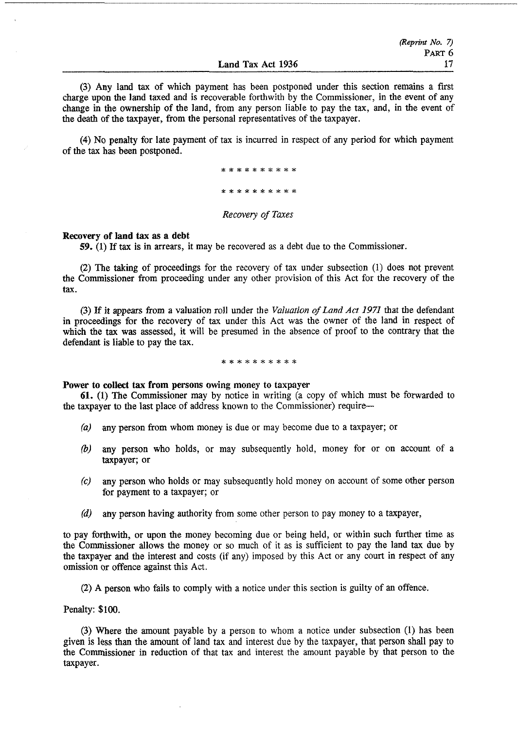(3) Any land tax of which payment has been postponed under this section remains a first charge upon the land taxed and is recoverable forthwith by the Commissioner, in the event of any change in the ownership of the land, from any person liable to pay the tax, and, in the event of the death of the taxpayer, from the personal representatives of the taxpayer.

(4) No penalty for late payment of tax is incurred in respect of any period for which payment of the tax has been postponed.

> \* \* \* \* \* \* \* \* \* \* \* \* \* \* \* \* \* \* \* \*

### Recovery of *Taxes*

#### Recovery of land **tax as** a debt

59. (1) If tax is in arrears, it may be recovered as a debt due to the Commissioner.

(2) The taking of proceedings for the recovery of tax under subsection (1) does not prevent the Commissioner from proceeding under any other provision of this Act for the recovery of the tax.

**(3)** If it appears from a valuation roll under the Valuation *&Land* **Act I971** that the defendant in proceedings for the recovery of tax under this Act was the owner of the land in respect of which the tax was assessed, it will be presumed in the absence of proof to the contrary that the defendant is liable to pay the tax.

#### \* \* \* \* \* \* \* \* \* \*

#### Power to collect **tax** from persons owing money to taxpayer

**61.** (1) The Commissioner may by notice in writing (a copy of which must be forwarded to the taxpayer **to** the last place of address known to the Commissioner) require-

- fa) any person from whom money is due or may become due to a taxpayer; or
- *(b)* any person who holds, or may subsequently hold, money for or on account of a taxpayer; or
- **(c)** any person who holds or may subsequently hold money on account of some other person for payment to a taxpayer; or
- *(d)* any person having authority from some other person to pay money to a taxpayer,

to pay forthwith, or upon the money becoming due or being held, or within such further time as the Commissioner allows the money or so much of it as is sufficient to pay the land tax due by the taxpayer and the interest and costs (if any) imposed by this Act or any court in respect of any omission or offence against this Act.

(2) A person who fails to comply with a notice under this section is guilty of an offence.

Penalty: **\$100.** 

(3) Where the amount payable by a person to whom a notice under subsection (I) has been given is less than the amount of land tax and interest due by the taxpayer, that person shall pay to the Commissioner in reduction of that tax and interest the amount payable by that person to the taxpayer.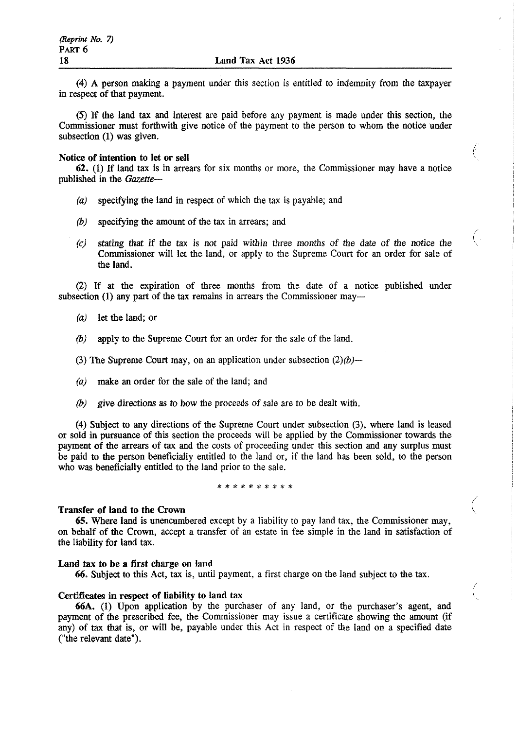(4) A person making a payment under this section is entitled to indemnity from the taxpayer in respect of that payment.

(5) If the land tax and interest are paid before any payment is made under this section, the Commissioner must forthwith give notice of the payment to the person to whom the notice under subsection (1) was given.

#### Notice of intention to let or sell

**62.** (1) If land tax is in arrears for six months or more, the Commissioner may have a notice published in the *Gazette*-

- (a) specifying the land in respect of which the tax is payable; and
- (b) specifying the amount of the tax in arrears; and
- **(c)** stating that if the tax is not paid within three months of the date of the notice the Commissioner will let the land, or apply to the Supreme Court for an order for sale of the land.

*I'* 

 $\begin{pmatrix} 1 & 1 \\ 1 & 1 \end{pmatrix}$ 

**(2)** If at the expiration of three months from the date of a notice published under subsection  $(1)$  any part of the tax remains in arrears the Commissioner may—

- (a) let the land; or
- (b) apply to the Supreme Court for an order for the sale of the land.
- **(3) The Supreme Court may, on an application under subsection**  $(2)(b)$
- (a) make an order for the sale of the land; and
- (b) give directions as to how the proceeds of sale are to be dealt with.

(4) Subject to any directions of the Supreme Court under subsection **(3),** where land is leased or sold in pursuance of this section the proceeds will be applied by the Commissioner towards the payment of the arrears of tax and the costs of proceeding under this section and any surplus must be paid to the person beneficially entitled to the land or, if the land has been sold, to the person who **was** beneficially entitled to the land prior to the sale.

\* \* \* \* \* \* \* \* \* \*

#### Transfer of land to the Crown

65. Where land is unencumbered except by a liability to pay land tax, the Commissioner may, on behalf of the Crown, accept a transfer of an estate in fee simple in the land in satisfaction of the liability for land tax.

#### Land tax to be a first charge on land

*66.* Subject to this Act, tax is, until payment, a first charge on the land subject to the tax.

## Certificates in respect of liability to land tax

**66A.** (1) Upon application by the purchaser of any land, or the purchaser's agent, and payment of the prescribed fee, the Commissioner may issue a certificate showing the amount (if any) of **tax** that is, or will be, payable under this Act in respect of the land on a specified date ("the relevant date").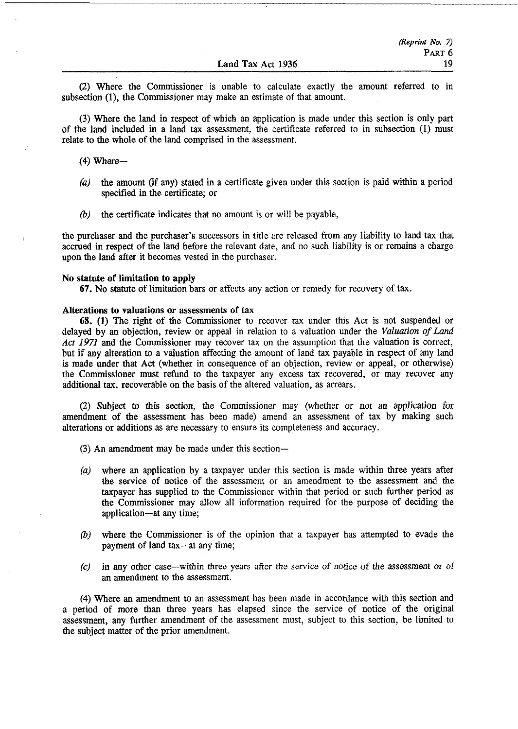(2) Where the Commissioner is unable to calculate exactly the amount referred to in subsection **(I),** the Commissioner may make an estimate of that amount.

(3) Where the land in respect of which an application is made under this section is only part of the land included in a land tax assessment, the certificate referred to in subsection **(1)** must relate to the whole of the land comprised in the assessment.

 $(4)$  Where-

- **(a)** the amount (if any) stated in a certificate given under this section is paid within a period specified in the certificate; or
- (b) the certificate indicates that no amount is or will be payable,

the purchaser and the purchaser's successors in title are released from any liability to land tax that accrued in respect of the land before the relevant date, and no such liability is or remains a charge upon the land after it becomes vested in the purchaser.

#### No statute of limitation to apply

67. No statute of limitation bars or affects any action or remedy for recovery of tax.

## Alterations to valuations or assessments of tax

**68, (1)** The right of the Commissioner to recover tax under this Act is not suspended or delayed by an objection, review or appeal in relation to a valuation under the *Valuation of Land Act* **I971** and the Commissioner may recover tax on the assumption that the valuation is correct, but if any alteration to a valuation affecting the amount of land tax payable in respect of any land is made under that Act (whether in consequence of an objection, review or appeal, or otherwise) the Commissioner must refund to the taxpayer any excess tax recovered, or may recover any additional tax, recoverable on the basis of the altered valuation, as arrears.

**(2)** Subject to this section, the Commissioner may (whether or not an application for amendment of the assessment has been made) amend an assessment of tax by making such alterations or additions as are necessary to ensure its completeness and accuracy.

- (3) An amendment may be made under this section-
- **(a)** where an application by a taxpayer under this section is made within three years after the service of notice of the assessment or an amendment to the assessment and the taxpayer has supplied to the Commissioner within that period or such further period as the Commissioner may allow all information required for the purpose of deciding the application-at any time;
- (b) where the Commissioner is of the opinion that a taxpayer has attempted to evade the payment of land tax-at any time;
- fc) in any other case-within three years after the service of notice of the assessment or of an amendment to the assessment.

(4) Where an amendment to an assessment has been made in accordance with this section and a period of more than three years has elapsed since the service of notice of the original assessment, any further amendment of the assessment must, subject to this section, be limited to the subject matter of the prior amendment.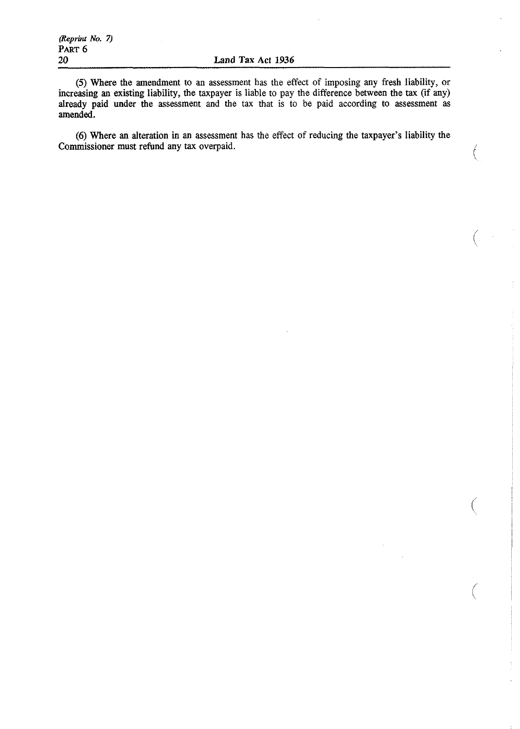(5) Where the amendment to an assessment has the effect of imposing any fresh liability, or increasing an existing liability, the taxpayer is liable to pay the difference between the tax (if any) already paid under the assessment and the tax that is to be paid according to assessment as amended.

*(6)* Where an alteration in an assessment has the effect of reducing the taxpayer's liability the Commissioner must refund any tax overpaid.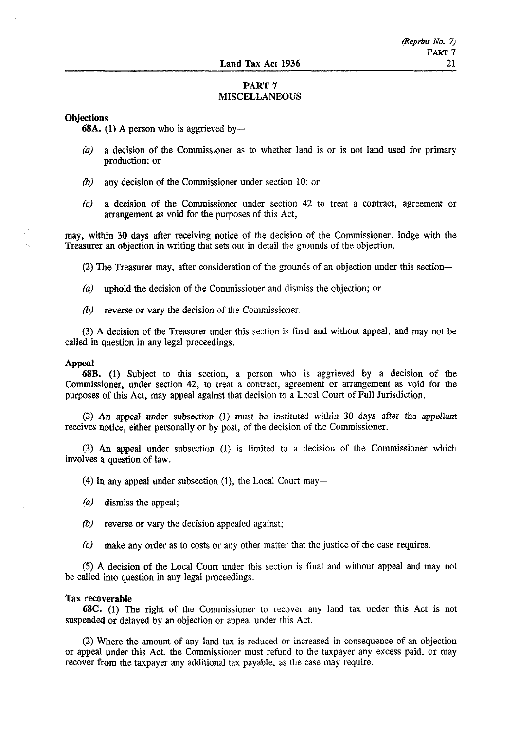## **PART 7**  MISCELLANEOUS

## **Objections**

**68A. (1) A** person who is aggrieved by-

- **(a)** a decision of the Commissioner as to whether land is or is not land used for primary production; or
- (b) any decision of the Commissioner under section 10; or
- **(c)** a decision of the Commissioner under section **42** to treat a contract, agreement or arrangement as void for the purposes of this Act,

may, within **30** days after receiving notice of the decision of the Commissioner, lodge with the Treasurer an objection in writing that sets out in detail the grounds of the objection.

- **(2)** The Treasurer may, after consideration of the grounds of an objection under this section-
- **(a)** uphold the decision of the Commissioner and dismiss the objection; or
- $(b)$  reverse or vary the decision of the Commissioner.

**(3)** A decision of the Treasurer under this section is final and without appeal, and may not be called in question in any legal proceedings.

**Appeal 68B. (1)** Subject to this section, a person who is aggrieved by a decision of the Commissioner, under section **42,** to treat a contract, agreement or arrangement as void for the purposes of this Act, may appeal against that decision to a Local Court of Full Jurisdiction.

**(2)** An appeal under subsection **(1)** must be instituted within **30** days after the appellant receives notice, either personally or by post, of the decision of the Commissioner.

**(3)** An appeal under subsection (1) is limited to a decision of the Commissioner which involves a question of law.

**(4)** In any appeal under subsection (I), the Local Court may-

- (a) dismiss the appeal;
- $(b)$  reverse or vary the decision appealed against;
- **(c)** make any order as to costs or any other matter that the justice of the case requires.

(5) A decision of the Local Court under this section is final and without appeal and may not be called into question in any legal proceedings.

#### **Tax** recoverable

**68C. (1)** The right of the Commissioner to recover any land tax under this Act is not suspended or delayed by an objection or appeal under this Act.

**(2)** Where the amount of any land tax is reduced or increased in consequence of an objection or appeal under this Act, the Commissioner must refund to the taxpayer any excess paid, or may recover from the taxpayer any additional tax payable, as the case may require.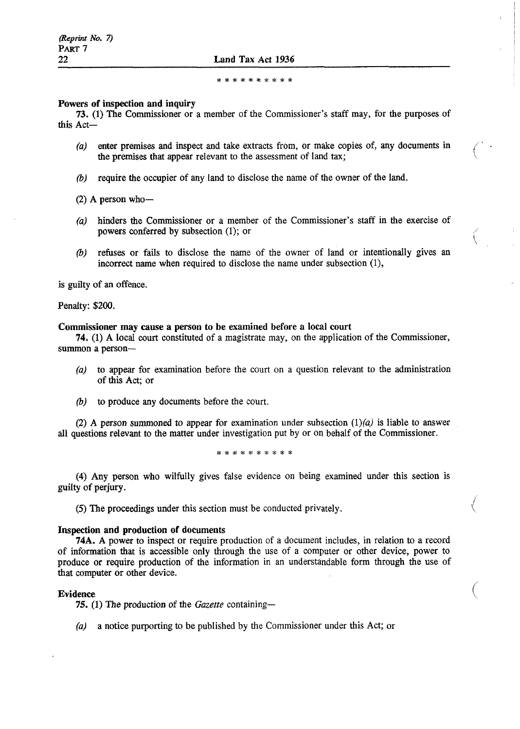#### \* \* \* \* \* \* \* \* \* \*

#### Powers of inspection and inquiry

**73. (1)** The Commissioner or a member of the Commissioner's staff may, for the purposes of this Act-

- **(a)** enter premises and inspect and take extracts from, or make copies of, any documents in the premises that appear relevant to the assessment of land tax;
- (b) require the occupier of any land to disclose the name of the owner of the land.

 $(2)$  A person who-

**(a)** hinders the Commissioner or a member of the Commissioner's staff in the exercise of hinders the Commissioner or a member of the Commissioner's staff in the exercise of powers conferred by subsection (1); or

 $\left(\right.$ 

⟨

 $(b)$  refuses or fails to disclose the name of the owner of land or intentionally gives an incorrect name when required to disclose the name under subsection **(I),** 

is guilty of an offence.

Penalty: **\$200.** 

## Commissioner may cause a person to be examined before a local court

**74. (1)** A local court constituted of a magistrate may, on the application of the Commissioner, summon a person-

- **(a)** to appear for examination before the court on a question relevant to the administration of this Act; or
- $(b)$  to produce any documents before the court.

**(2)** A person summoned to appear for examination under subsection **(l)(a)** is liable to answer all questions relevant to the matter under investigation put by or on behalf of the Commissioner.

\* \* \* \* \* \* \* \* \* \*

(4) Any person who wilfully gives false evidence on being examined under this section is guilty of perjury.

(5) The proceedings under this section must be conducted privately.

#### Inspection and production of documents

74A. A power to inspect or require production of a document includes, in relation to a record of information that is accessible only through the use of a computer or other device, power to produce or require production of the information in an understandable form through the use of that computer or other device.

## Evidence

75. (1) The production of the *Gazette* containing-

**(a)** a notice purporting to be published by the Commissioner under this Act; or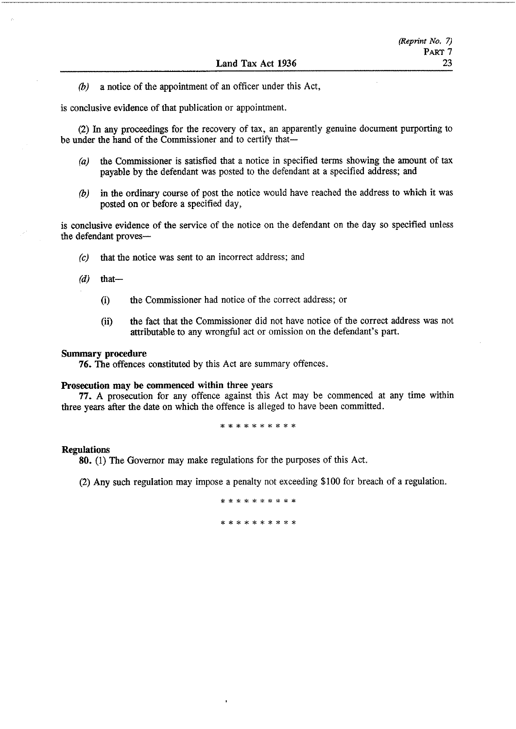$(b)$  a notice of the appointment of an officer under this Act,

is conclusive evidence of that publication or appointment.

**(2)** In any proceedings for the recovery of tax, an apparently genuine document purporting to be under the hand of the Commissioner and to certify that-

- *(a)* the Commissioner is satisfied that a notice in specified terms showing the amount of tax payable by the defendant was posted to the defendant at a specified address; and
- *(b)* in the ordinary course of post the notice would have reached the address to which it was posted on or before a specified day,

is conclusive evidence of the service of the notice on the defendant on the day so specified unless the defendant proves-

- **(c)** that the notice was sent to an incorrect address; and
- $(d)$  that-
	- **(i)** the Commissioner had notice of the correct address; or
	- (ii) the fact that the Commissioner did not have notice of the correct address was not attributable to any wrongful act or omission on the defendant's part.

#### Summary procedure

**76.** The offences constituted by this Act are summary offences.

## Prosecution may be commenced within three years

**77.** A prosecution for any offence against this Act may be commenced at any time within three years after the date on which the offence is alleged to have been committed.

\*\*\*\*\*\*\*\*\*\*

## Regulations

80. (1) The Governor may make regulations for the purposes of this Act

(2) Any such regulation may impose a penalty not exceeding \$100 for breach of a regulation.

\*\*\*\*\*\*\*\*\*\*

\* \* \* \* \* \* \* \* \* \*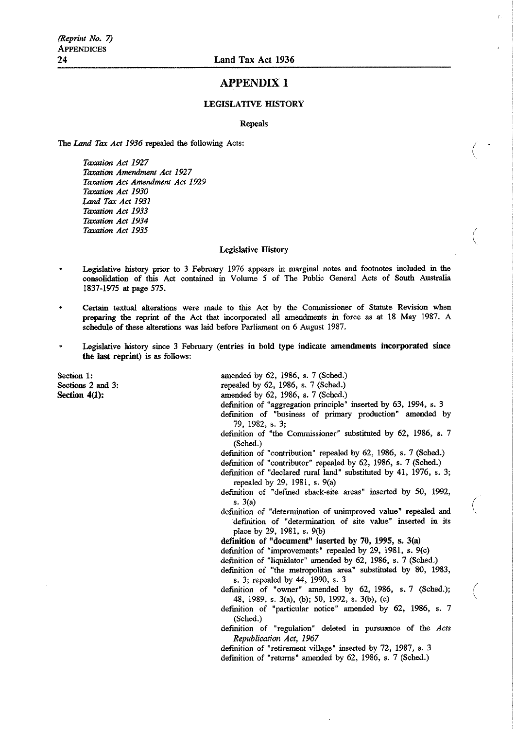## **APPENDIX 1**

#### LEGISLATIVE HISTORY

#### **Repeals**

The *Land Tax Act 1936* repealed the following Acts:

*Tmon Act 1927*  **Taxation Amendment Act 1927 Taxation Act Amendment Act 1929** *Tmon Act 1930 Land Tar Acr 1931*  **Taxation Act 1933** *Tatatiar Act 1934*  Taxation Act 1935

#### Legislative History

- Legislative history prior to 3 February 1976 appears in marginal notes and footnotes included in the consolidation of this Act contained in Volume 5 of The Public General Acts of South Australia 1837-1975 at page 575.
- Certain textual alterations were made to this Act by the Commissioner of Statute Revision when preparing the reprint of the Act that incorporated all amendments in force as at 18 May 1987. A schedule of these alterations was laid before Parliament on 6 August 1987.
- Legislative history since 3 February (entries in bold type indicate amendments incorporated since the last reprint) is **as** foliows:

Section 1: Sections 2 **and** 3: Section **4fl):** 

amended by 62, 1986, s. 7 (Sched.) repealed by 62, 1986, s. 7 (Sched.) amended by 62, 1986, s. 7 (Sched.) definition of "aggregation principle" inserted by 63, 1994, s. 3 definition of "business of primary production" amended by 79, 1982, s. 3; definition of "the Commissioner" substituted by 62, 1986, s. 7 (Sched.) definition of "contribution" repealed by 62, 1986, s. 7 (Sched.) definition of "contributor" repealed by 62, 1986, s. 7 (Sched.) definition of "declared rural land" substituted by 41, 1976, s. 3; repealed by 29, 1981, s. 9(a) definition of "defined shack-site areas" inserted by 50, 1992, s. 3(a) definition of "determination of unimproved value" repealed and definition of "determination of site value" inserted in its place by 29, 1981, s. 9(b) definition of "document" inserted by 70, 1995, s. **3(a)**  definition of "improvements" repealed by 29, 1981, s. 9(c) definition of "liquidator" amended by 62, 1986, s. 7 (Sched.) definition of "the metropolitan area" substituted by 80, 1983, s. 3; repealed by 44, 1990, s. 3 definition of "owner" amended by 62, 1986, s. 7 (Sched.); inition of "the metropolitan area" substituted by 80, 1983,<br>s. 3; repealed by 44, 1990, s. 3<br>inition of "owner" amended by 62, 1986, s. 7 (Sched.);<br>48, 1989, s. 3(a), (b); 50, 1992, s. 3(b), (c) defmition of "particular notice" amended by 62, 1986, s. 7 (Sched.) definition of "regulation" deleted in pursuance of the *Acts Repuhlican'o~t Act, 1967*  definition of "retirement village" inserted by 72, 1987, s. 3 definition of "returns" amended by 62, 1986, s. 7 (Sched.)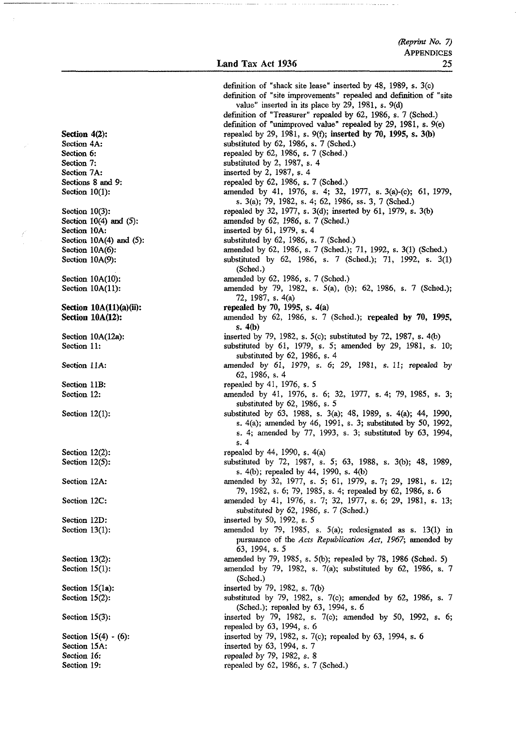definition of "shack site lease" inserted by 48, 1989, s. 3(c) definition of "site improvements" repealed **aml** definition of "site value" inserted in its place by 29, 1981, s. 9(d) definition of "Treasurer" repealed by 62, 1986, s. 7 (Sched.) definition of "unimproved value" repealed by 29, 1981, s. 9(e) repealed by 29, 1981, *s.* 9(f); inserted by 70, 1995, *s.* 3(b) substituted by 62, 1986, s. 7 (Sched.) repealed by 62, 1986, s. 7 (Sched.) substituted by 2, 1987, s. 4 inserted by 2, 1987, s. 4 repealed by 62, 1986, s. 7 (Sched.) amended by 41, 1976, s. 4; 32, 1977, **s.** 3(a)-(c); 61, 1979, s. 3(a); 79, 1982, s. 4; 62, 1986, ss. 3, 7 (Sched.) repealed by 32, 1977, s. 3(d); inserted by 61, 1979, s. 3@) amended by 62, 1986, s. 7 (Sched.) inserted by 61, 1979, s. 4 substihited by 62, 1986, s. 7 (Sched.) amended by 62, 1986, s. 7 (Sched.); 71, 1992, s. 3(1) (Sched.) substituted by 62, 1986, s. 7 (Sched.); 71, 1992, s. 3(l) (Sched.) amended by 62, 1986, s. 7 (Sched.) amended by 79, 1982, s. 5(a), (b); 62, 1986, s. 7 (Sched.); 72, 1987, s. 4(a) **repealed** by 70, **1995, s. 4(a)**  amended by 62, 1986, s. 7 (Sched.); **repealed** by 70, **1995, s. 4(b)**  inserted by 79, 1982, **s.** 5(c); substituted by 72, 1987, s. 4@) substituted by 61, 1979, s. 5; amended by 29, 1981, s. 10; substituted by 62, 1986, s. 4 amended by 61, 1979, s. 6; 29, 1981, s. 11; repealed by 62, 1986, s. 4 repealed by 41, 1976, s. 5 amended by 41, 1976, s. 6; 32, 1977, s. 4; 79, 1985, s. 3; substituted by 62, 1986, s. 5 substihited by 63, 1988, s. 3(a); 48, 1989, s. 4(a); 44, 1990, s. 4(a); amended by 46, 1991, s. 3; substituted by 50, 1992, s. 4; amended by 77, 1993, s. 3; substituted by 63, 1994, s. 4 repealed by 44, 1990, s. 4(a) substituted by 72, 1987, s. 5; 63, 1988, s. 3(b); 48, 1989, s. 4@); repealed by 44, 1990, s. 4@) amended by 32, 1977, s. 5; 61, 1979, s. 7; 29, 1981, s. 12; 79, 1982, s. 6; 79, 1985, s. 4; repealed by 62, 1986, s. 6 amended by 41, 1976, s. 7; 32, 1977, s. 6; 29, 1981, s. 13; substituted by 62, 1986, s. 7 (Sched.) inserted hy 50, 1992, s. 5 amended by 79, 1985, s. 5(a); redesignated as s. 13(1) in pursuance of the *Acts Republication Act, 1967;* amended by 63, 1994, s. 5 amended by 79, 1985, s. 5(b); repealed by 78, 1986 (Sched. 5) amended by 79, 1982, s. 7(a); substituted by 62, 1986, s. 7 (Sched.) inserted by 79, 1982, s. 7(b) substihited by 79, 1982, s. 7(c); amended by 62, 1986, s. 7 (Sched.); repealed by 63, 1994, s. 6 inserted by 79, 1982, s. 7(c); amended by 50, 1992, s. 6; repealed by 63, 1994, s. 6 inserted by 79, 1982, s. 7(c); repealed by 63, 1994, s. 6 inserted by 63, 1994, s. 7 repealed by 79, 1982, s. 8 repenled by 62, 1986, s. 7 (Sched.)

**Section 4(2):**  Section 4A: Section 6: Section 7: Section 7A: Sections 8 and 9: Section 10(1): Section 10(3): Section lO(4) **and** (5): Section 10A: Section  $10A(4)$  and  $(5)$ : Section 10A(6): Section 10A(9): Section 10A(10): Section 10A(11): **Section lOA(ll)(a)(ii): Section lOA(12):**  Section 10A(12a): Section 11: Section 11A: Section 11B: Section 12: Section 12(1): Section 12(2): Section  $12(5)$ : Section 12A: Section 12C: Section 12D: Section 13(1): Section 13(2): section 15(1): Section 15(la): Section 15(2): Section 15(3): Section  $15(4) - (6)$ : Section 15A: Section 16:

Section 19: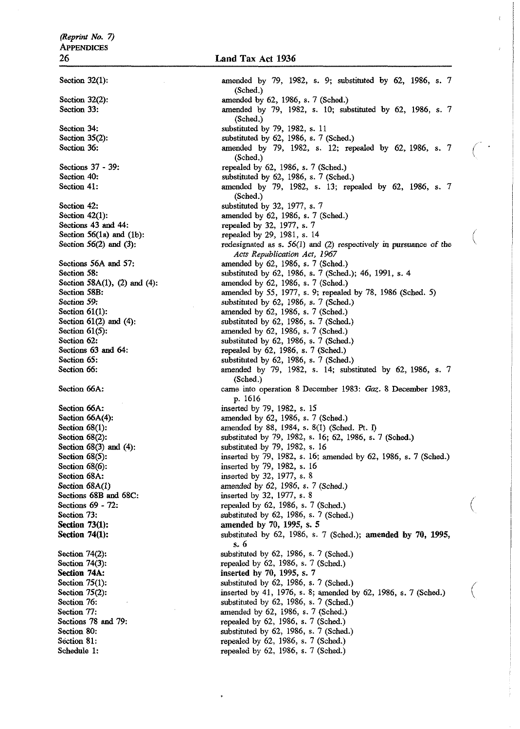Section 32(1): Section 32(2): Section 33: Section 34: Section 35(2): Section 36: Sections 37 - 39: Section 40: Section 41: Section 42: Section 42(1): Sections 43 and 44: Section 56(la) **and** (lb): Section 56(2) **and** (3): Sections 56A and 57: Section 58: Section 58A(1), (2) **and** (4): Section 58B: Section 59: Section  $61(1)$ : Section 61(2) **and** (4): Section 61(5): Section 62: Sections 63 **and** 64: Section 65: Section 66: Section 66A: Section 66A: Section 66A(4): Section 68(1): Section 68(2): Section 68(3) **and** (4): Section  $68(5)$ : Section 68(6): Section 68A: Section  $68A(1)$ Sections 68B **and** 68C: Sections 69 - 72: Section 73: Section 73(1): Section 74(1): Section 74(2): Section 74(3): Section 74A: Section 75(1): Section 75(2): Section 76: Section 77: Sections 78 **and** 79: Section 80: Séction 81: Schedule 1:

#### *26* **Land Tax Act 1936**

amended by 79, 1982, s. 9; substituted by 62, 1986, s. 7 (Sched.) amended by 62, 1986, s. 7 (Sched.) amended by 79, 1982, s. 10; substituted by 62, 1986, s. 7 (Sched.) substituted by 79, 1982, s. 11 substituted by 62, 1986, s. 7 (Sched.) amended by 79, 1982, s. 12; repealed by 62, 1986, s. 7  $\left(\begin{array}{ccc} \cdot & \cdot \\ \cdot & \cdot \\ \cdot & \cdot \end{array}\right)$ repealed by 62, 1986, s. 7 (Sched.) substituted by 62, 1986, s. 7 (Sched.) amended by 79, 1982, s. 13; repealed by 62, 1986, s. 7 (Sched.) substituted by 32, 1977, s. 7 amended by 62, 1986, s. 7 (Sched.) repealed by 32, 1977, s. 7 repealed by 29, 1981, s. 14 redesignated as  $s. 56(1)$  and (2) respectively in pursuance of the Acts Republication Act, 1967 amended by 62, 1986, s. 7 (Sched.) substituted by 62, 1986, s. 7 (Sched.); 46, 1991, s. 4 amended by 62, 1986, s. 7 (Sched.) amended by 55, 1977, s. 9; repealed by 78, 1986 (Sched. 5) substihlted by 62, 1986, **s.** 7 (Sched.) amended by 62, 1986, s. 7 (Sched.) substituted by 62, 1986, s. 7 (Sched.) amended by 62, 1986, s. 7 (Sched.) substituted by 62, 1986, s. 7 (Sched.) repeals1 by 62, 1986, s. 7 (Sched.) substituted by 62, 1986, s. 7 (Sched.) amended by 79, 1982, s. 14; substituted by 62, 1986, s. 7 (Sched.) came into operation 8 December 1983: *Gaz.* 8 December 1983, p. 1616 inserted by 79, 1982, s. 15 amended by 62, 1986, s. 7 (Sched.) amended by 88, 1984, s. **8(1)** (Sched. **Ft.** I) substituted by 79, 1982, s. 16; 62, 1986, s. 7 (Sched.) substituted by  $79, 1982, s. 16$ inserted by 79, 1982, s. 16; amended by 62, 1986, s. 7 (Sched.) inserted by 79, 1982, s. 16 inserted by 32, 1977, s. 8 amended by 62, 1986, s. 7 (Sched.) inserted by 32, 1977, s. 8 repealed by 62, 1986, s. 7 (Sched.) substituted by 62, 1986, s. 7 (Sched.) ( amended by 70, 1995, s. **5**  substituted by 62, 1986, s. 7 (Sched.); amended by 70, 1995, s. 6 substituted by 62, 1986, **s.** 7 (Sched.) repealed by 62, 1986, s. 7 (Sched.) inserted by 70, 1995, **s.** 7 substikited by 62, 1986, s. **7** (Sched.) inserted by 41, 1976, s. 8; amended by 62, 1986, s. 7 (Sched.) substituted by 62, 1986, s. 7 (Sched.) amended by 62, 1986, s. 7 (Sched.) repealed by 62, 1986, s. 7 (Sched.) substituted by 62, 1986, s. 7 (Sched.) repealed by 62, 1986, s. 7 (Sched.) repealed by 62, 1986, s. 7 (Sched.)